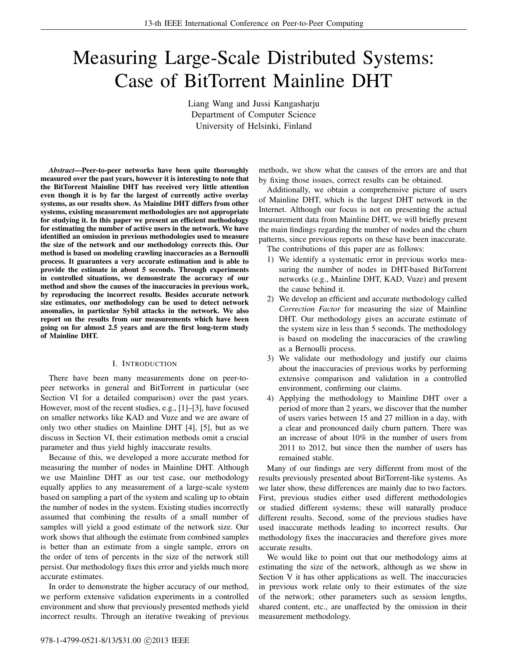# Measuring Large-Scale Distributed Systems: Case of BitTorrent Mainline DHT

Liang Wang and Jussi Kangasharju Department of Computer Science University of Helsinki, Finland

*Abstract*—Peer-to-peer networks have been quite thoroughly measured over the past years, however it is interesting to note that the BitTorrent Mainline DHT has received very little attention even though it is by far the largest of currently active overlay systems, as our results show. As Mainline DHT differs from other systems, existing measurement methodologies are not appropriate for studying it. In this paper we present an efficient methodology for estimating the number of active users in the network. We have identified an omission in previous methodologies used to measure the size of the network and our methodology corrects this. Our method is based on modeling crawling inaccuracies as a Bernoulli process. It guarantees a very accurate estimation and is able to provide the estimate in about 5 seconds. Through experiments in controlled situations, we demonstrate the accuracy of our method and show the causes of the inaccuracies in previous work, by reproducing the incorrect results. Besides accurate network size estimates, our methodology can be used to detect network anomalies, in particular Sybil attacks in the network. We also report on the results from our measurements which have been going on for almost 2.5 years and are the first long-term study of Mainline DHT.

### I. INTRODUCTION

There have been many measurements done on peer-topeer networks in general and BitTorrent in particular (see Section VI for a detailed comparison) over the past years. However, most of the recent studies, e.g., [1]–[3], have focused on smaller networks like KAD and Vuze and we are aware of only two other studies on Mainline DHT [4], [5], but as we discuss in Section VI, their estimation methods omit a crucial parameter and thus yield highly inaccurate results.

Because of this, we developed a more accurate method for measuring the number of nodes in Mainline DHT. Although we use Mainline DHT as our test case, our methodology equally applies to any measurement of a large-scale system based on sampling a part of the system and scaling up to obtain the number of nodes in the system. Existing studies incorrectly assumed that combining the results of a small number of samples will yield a good estimate of the network size. Our work shows that although the estimate from combined samples is better than an estimate from a single sample, errors on the order of tens of percents in the size of the network still persist. Our methodology fixes this error and yields much more accurate estimates.

In order to demonstrate the higher accuracy of our method, we perform extensive validation experiments in a controlled environment and show that previously presented methods yield incorrect results. Through an iterative tweaking of previous methods, we show what the causes of the errors are and that by fixing those issues, correct results can be obtained.

Additionally, we obtain a comprehensive picture of users of Mainline DHT, which is the largest DHT network in the Internet. Although our focus is not on presenting the actual measurement data from Mainline DHT, we will briefly present the main findings regarding the number of nodes and the churn patterns, since previous reports on these have been inaccurate. The contributions of this paper are as follows:

1) We identify a systematic error in previous works measuring the number of nodes in DHT-based BitTorrent networks (e.g., Mainline DHT, KAD, Vuze) and present the cause behind it.

- 2) We develop an efficient and accurate methodology called *Correction Factor* for measuring the size of Mainline DHT. Our methodology gives an accurate estimate of the system size in less than 5 seconds. The methodology is based on modeling the inaccuracies of the crawling as a Bernoulli process.
- 3) We validate our methodology and justify our claims about the inaccuracies of previous works by performing extensive comparison and validation in a controlled environment, confirming our claims.
- 4) Applying the methodology to Mainline DHT over a period of more than 2 years, we discover that the number of users varies between 15 and 27 million in a day, with a clear and pronounced daily churn pattern. There was an increase of about 10% in the number of users from 2011 to 2012, but since then the number of users has remained stable.

Many of our findings are very different from most of the results previously presented about BitTorrent-like systems. As we later show, these differences are mainly due to two factors. First, previous studies either used different methodologies or studied different systems; these will naturally produce different results. Second, some of the previous studies have used inaccurate methods leading to incorrect results. Our methodology fixes the inaccuracies and therefore gives more accurate results.

We would like to point out that our methodology aims at estimating the size of the network, although as we show in Section V it has other applications as well. The inaccuracies in previous work relate only to their estimates of the size of the network; other parameters such as session lengths, shared content, etc., are unaffected by the omission in their measurement methodology.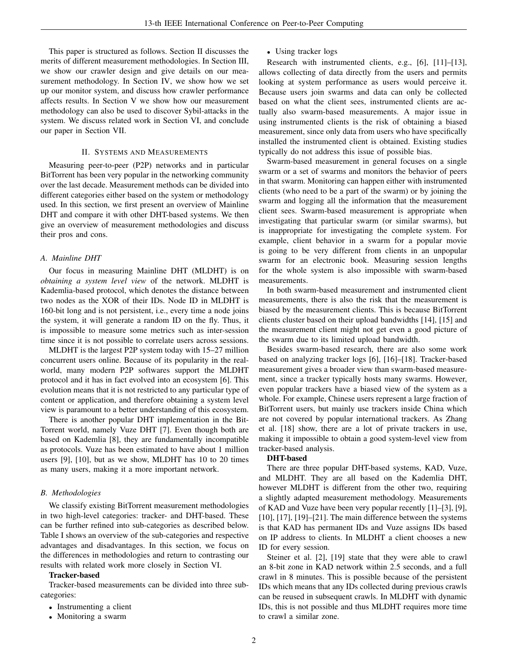This paper is structured as follows. Section II discusses the merits of different measurement methodologies. In Section III, we show our crawler design and give details on our measurement methodology. In Section IV, we show how we set up our monitor system, and discuss how crawler performance affects results. In Section V we show how our measurement methodology can also be used to discover Sybil-attacks in the system. We discuss related work in Section VI, and conclude our paper in Section VII.

## II. SYSTEMS AND MEASUREMENTS

Measuring peer-to-peer (P2P) networks and in particular BitTorrent has been very popular in the networking community over the last decade. Measurement methods can be divided into different categories either based on the system or methodology used. In this section, we first present an overview of Mainline DHT and compare it with other DHT-based systems. We then give an overview of measurement methodologies and discuss their pros and cons.

### *A. Mainline DHT*

Our focus in measuring Mainline DHT (MLDHT) is on *obtaining a system level view* of the network. MLDHT is Kademlia-based protocol, which denotes the distance between two nodes as the XOR of their IDs. Node ID in MLDHT is 160-bit long and is not persistent, i.e., every time a node joins the system, it will generate a random ID on the fly. Thus, it is impossible to measure some metrics such as inter-session time since it is not possible to correlate users across sessions.

MLDHT is the largest P2P system today with 15–27 million concurrent users online. Because of its popularity in the realworld, many modern P2P softwares support the MLDHT protocol and it has in fact evolved into an ecosystem [6]. This evolution means that it is not restricted to any particular type of content or application, and therefore obtaining a system level view is paramount to a better understanding of this ecosystem.

There is another popular DHT implementation in the Bit-Torrent world, namely Vuze DHT [7]. Even though both are based on Kademlia [8], they are fundamentally incompatible as protocols. Vuze has been estimated to have about 1 million users [9], [10], but as we show, MLDHT has 10 to 20 times as many users, making it a more important network.

## *B. Methodologies*

We classify existing BitTorrent measurement methodologies in two high-level categories: tracker- and DHT-based. These can be further refined into sub-categories as described below. Table I shows an overview of the sub-categories and respective advantages and disadvantages. In this section, we focus on the differences in methodologies and return to contrasting our results with related work more closely in Section VI.

#### Tracker-based

Tracker-based measurements can be divided into three subcategories:

- *•* Instrumenting a client
- *•* Monitoring a swarm

*•* Using tracker logs

Research with instrumented clients, e.g., [6], [11]–[13], allows collecting of data directly from the users and permits looking at system performance as users would perceive it. Because users join swarms and data can only be collected based on what the client sees, instrumented clients are actually also swarm-based measurements. A major issue in using instrumented clients is the risk of obtaining a biased measurement, since only data from users who have specifically installed the instrumented client is obtained. Existing studies typically do not address this issue of possible bias.

Swarm-based measurement in general focuses on a single swarm or a set of swarms and monitors the behavior of peers in that swarm. Monitoring can happen either with instrumented clients (who need to be a part of the swarm) or by joining the swarm and logging all the information that the measurement client sees. Swarm-based measurement is appropriate when investigating that particular swarm (or similar swarms), but is inappropriate for investigating the complete system. For example, client behavior in a swarm for a popular movie is going to be very different from clients in an unpopular swarm for an electronic book. Measuring session lengths for the whole system is also impossible with swarm-based measurements.

In both swarm-based measurement and instrumented client measurements, there is also the risk that the measurement is biased by the measurement clients. This is because BitTorrent clients cluster based on their upload bandwidths [14], [15] and the measurement client might not get even a good picture of the swarm due to its limited upload bandwidth.

Besides swarm-based research, there are also some work based on analyzing tracker logs [6], [16]–[18]. Tracker-based measurement gives a broader view than swarm-based measurement, since a tracker typically hosts many swarms. However, even popular trackers have a biased view of the system as a whole. For example, Chinese users represent a large fraction of BitTorrent users, but mainly use trackers inside China which are not covered by popular international trackers. As Zhang et al. [18] show, there are a lot of private trackers in use, making it impossible to obtain a good system-level view from tracker-based analysis.

### DHT-based

There are three popular DHT-based systems, KAD, Vuze, and MLDHT. They are all based on the Kademlia DHT, however MLDHT is different from the other two, requiring a slightly adapted measurement methodology. Measurements of KAD and Vuze have been very popular recently [1]–[3], [9],  $[10]$ ,  $[17]$ ,  $[19]$ – $[21]$ . The main difference between the systems is that KAD has permanent IDs and Vuze assigns IDs based on IP address to clients. In MLDHT a client chooses a new ID for every session.

Steiner et al. [2], [19] state that they were able to crawl an 8-bit zone in KAD network within 2.5 seconds, and a full crawl in 8 minutes. This is possible because of the persistent IDs which means that any IDs collected during previous crawls can be reused in subsequent crawls. In MLDHT with dynamic IDs, this is not possible and thus MLDHT requires more time to crawl a similar zone.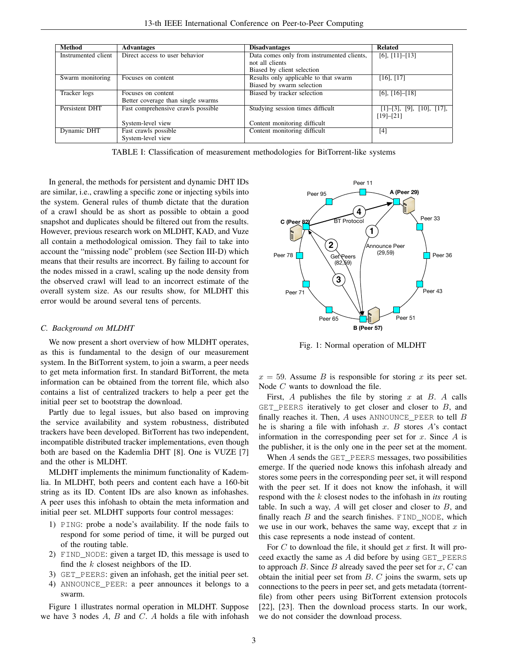| Method              | <b>Advantages</b>                  | <b>Disadvantages</b>                       | <b>Related</b>                            |  |
|---------------------|------------------------------------|--------------------------------------------|-------------------------------------------|--|
| Instrumented client | Direct access to user behavior     | Data comes only from instrumented clients, | [6], [11]–[13]                            |  |
|                     |                                    | not all clients                            |                                           |  |
|                     |                                    | Biased by client selection                 |                                           |  |
| Swarm monitoring    | Focuses on content                 | Results only applicable to that swarm      | $[16]$ , $[17]$                           |  |
|                     |                                    | Biased by swarm selection                  |                                           |  |
| Tracker logs        | Focuses on content                 | Biased by tracker selection                | $[6]$ , $[16]$ - $[18]$                   |  |
|                     | Better coverage than single swarms |                                            |                                           |  |
| Persistent DHT      | Fast comprehensive crawls possible | Studying session times difficult           | $[1]$ - $[3]$ , $[9]$ , $[10]$ , $[17]$ , |  |
|                     |                                    |                                            | $[19]-[21]$                               |  |
|                     | System-level view                  | Content monitoring difficult               |                                           |  |
| Dynamic DHT         | Fast crawls possible               | Content monitoring difficult               | $[4]$                                     |  |
|                     | System-level view                  |                                            |                                           |  |

TABLE I: Classification of measurement methodologies for BitTorrent-like systems

In general, the methods for persistent and dynamic DHT IDs are similar, i.e., crawling a specific zone or injecting sybils into the system. General rules of thumb dictate that the duration of a crawl should be as short as possible to obtain a good snapshot and duplicates should be filtered out from the results. However, previous research work on MLDHT, KAD, and Vuze all contain a methodological omission. They fail to take into account the "missing node" problem (see Section III-D) which means that their results are incorrect. By failing to account for the nodes missed in a crawl, scaling up the node density from the observed crawl will lead to an incorrect estimate of the overall system size. As our results show, for MLDHT this error would be around several tens of percents.

## *C. Background on MLDHT*

We now present a short overview of how MLDHT operates, as this is fundamental to the design of our measurement system. In the BitTorrent system, to join a swarm, a peer needs to get meta information first. In standard BitTorrent, the meta information can be obtained from the torrent file, which also contains a list of centralized trackers to help a peer get the initial peer set to bootstrap the download.

Partly due to legal issues, but also based on improving the service availability and system robustness, distributed trackers have been developed. BitTorrent has two independent, incompatible distributed tracker implementations, even though both are based on the Kademlia DHT [8]. One is VUZE [7] and the other is MLDHT.

MLDHT implements the minimum functionality of Kademlia. In MLDHT, both peers and content each have a 160-bit string as its ID. Content IDs are also known as infohashes. A peer uses this infohash to obtain the meta information and initial peer set. MLDHT supports four control messages:

- 1) PING: probe a node's availability. If the node fails to respond for some period of time, it will be purged out of the routing table.
- 2) FIND\_NODE: given a target ID, this message is used to find the  $k$  closest neighbors of the ID.
- 3) GET\_PEERS: given an infohash, get the initial peer set.
- 4) ANNOUNCE\_PEER: a peer announces it belongs to a swarm.

Figure 1 illustrates normal operation in MLDHT. Suppose we have 3 nodes  $A$ ,  $B$  and  $C$ .  $A$  holds a file with infohash



Fig. 1: Normal operation of MLDHT

 $x = 59$ . Assume B is responsible for storing x its peer set. Node C wants to download the file.

First,  $A$  publishes the file by storing  $x$  at  $B$ .  $A$  calls GET\_PEERS iteratively to get closer and closer to  $B$ , and finally reaches it. Then,  $A$  uses ANNOUNCE\_PEER to tell  $B$ he is sharing a file with infohash x. B stores  $A$ 's contact information in the corresponding peer set for  $x$ . Since  $A$  is the publisher, it is the only one in the peer set at the moment.

When  $A$  sends the GET PEERS messages, two possibilities emerge. If the queried node knows this infohash already and stores some peers in the corresponding peer set, it will respond with the peer set. If it does not know the infohash, it will respond with the k closest nodes to the infohash in *its* routing table. In such a way,  $A$  will get closer and closer to  $B$ , and finally reach  $B$  and the search finishes. FIND NODE, which we use in our work, behaves the same way, except that  $x$  in this case represents a node instead of content.

For C to download the file, it should get x first. It will proceed exactly the same as A did before by using GET\_PEERS to approach B. Since B already saved the peer set for  $x, C$  can obtain the initial peer set from  $B$ .  $C$  joins the swarm, sets up connections to the peers in peer set, and gets metadata (torrentfile) from other peers using BitTorrent extension protocols [22], [23]. Then the download process starts. In our work, we do not consider the download process.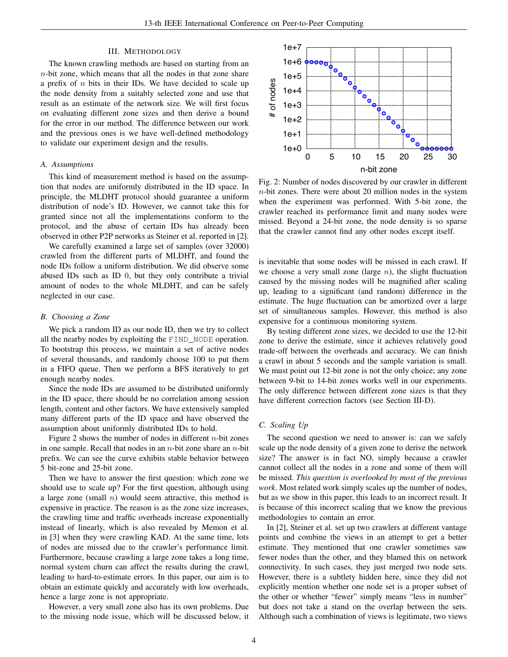## III. METHODOLOGY

The known crawling methods are based on starting from an n-bit zone, which means that all the nodes in that zone share a prefix of  $n$  bits in their IDs. We have decided to scale up the node density from a suitably selected zone and use that result as an estimate of the network size. We will first focus on evaluating different zone sizes and then derive a bound for the error in our method. The difference between our work and the previous ones is we have well-defined methodology to validate our experiment design and the results.

## *A. Assumptions*

This kind of measurement method is based on the assumption that nodes are uniformly distributed in the ID space. In principle, the MLDHT protocol should guarantee a uniform distribution of node's ID. However, we cannot take this for granted since not all the implementations conform to the protocol, and the abuse of certain IDs has already been observed in other P2P networks as Steiner et al. reported in [2].

We carefully examined a large set of samples (over 32000) crawled from the different parts of MLDHT, and found the node IDs follow a uniform distribution. We did observe some abused IDs such as ID 0, but they only contribute a trivial amount of nodes to the whole MLDHT, and can be safely neglected in our case.

#### *B. Choosing a Zone*

We pick a random ID as our node ID, then we try to collect all the nearby nodes by exploiting the FIND\_NODE operation. To bootstrap this process, we maintain a set of active nodes of several thousands, and randomly choose 100 to put them in a FIFO queue. Then we perform a BFS iteratively to get enough nearby nodes.

Since the node IDs are assumed to be distributed uniformly in the ID space, there should be no correlation among session length, content and other factors. We have extensively sampled many different parts of the ID space and have observed the assumption about uniformly distributed IDs to hold.

Figure 2 shows the number of nodes in different  $n$ -bit zones in one sample. Recall that nodes in an  $n$ -bit zone share an  $n$ -bit prefix. We can see the curve exhibits stable behavior between 5 bit-zone and 25-bit zone.

Then we have to answer the first question: which zone we should use to scale up? For the first question, although using a large zone (small  $n$ ) would seem attractive, this method is expensive in practice. The reason is as the zone size increases, the crawling time and traffic overheads increase exponentially instead of linearly, which is also revealed by Memon et al. in [3] when they were crawling KAD. At the same time, lots of nodes are missed due to the crawler's performance limit. Furthermore, because crawling a large zone takes a long time, normal system churn can affect the results during the crawl, leading to hard-to-estimate errors. In this paper, our aim is to obtain an estimate quickly and accurately with low overheads, hence a large zone is not appropriate.

However, a very small zone also has its own problems. Due to the missing node issue, which will be discussed below, it



Fig. 2: Number of nodes discovered by our crawler in different  $n$ -bit zones. There were about 20 million nodes in the system when the experiment was performed. With 5-bit zone, the crawler reached its performance limit and many nodes were missed. Beyond a 24-bit zone, the node density is so sparse that the crawler cannot find any other nodes except itself.

is inevitable that some nodes will be missed in each crawl. If we choose a very small zone (large  $n$ ), the slight fluctuation caused by the missing nodes will be magnified after scaling up, leading to a significant (and random) difference in the estimate. The huge fluctuation can be amortized over a large set of simultaneous samples. However, this method is also expensive for a continuous monitoring system.

By testing different zone sizes, we decided to use the 12-bit zone to derive the estimate, since it achieves relatively good trade-off between the overheads and accuracy. We can finish a crawl in about 5 seconds and the sample variation is small. We must point out 12-bit zone is not the only choice; any zone between 9-bit to 14-bit zones works well in our experiments. The only difference between different zone sizes is that they have different correction factors (see Section III-D).

## *C. Scaling Up*

The second question we need to answer is: can we safely scale up the node density of a given zone to derive the network size? The answer is in fact NO, simply because a crawler cannot collect all the nodes in a zone and some of them will be missed. *This question is overlooked by most of the previous work*. Most related work simply scales up the number of nodes, but as we show in this paper, this leads to an incorrect result. It is because of this incorrect scaling that we know the previous methodologies to contain an error.

In [2], Steiner et al. set up two crawlers at different vantage points and combine the views in an attempt to get a better estimate. They mentioned that one crawler sometimes saw fewer nodes than the other, and they blamed this on network connectivity. In such cases, they just merged two node sets. However, there is a subtlety hidden here, since they did not explicitly mention whether one node set is a proper subset of the other or whether "fewer" simply means "less in number" but does not take a stand on the overlap between the sets. Although such a combination of views is legitimate, two views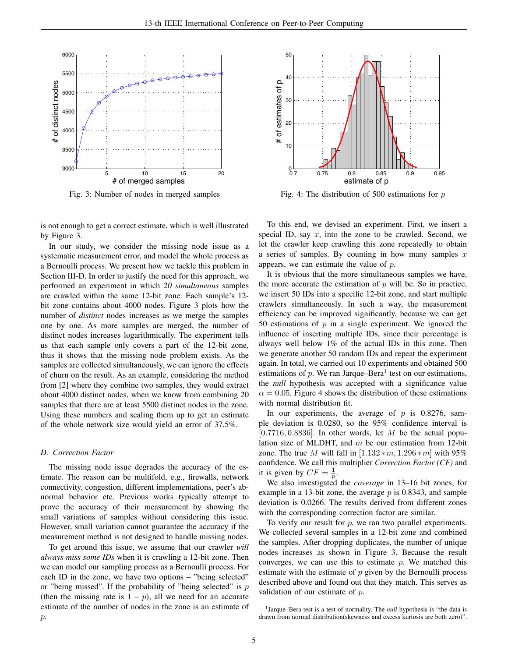

Fig. 3: Number of nodes in merged samples

is not enough to get a correct estimate, which is well illustrated by Figure 3.

In our study, we consider the missing node issue as a systematic measurement error, and model the whole process as a Bernoulli process. We present how we tackle this problem in Section III-D. In order to justify the need for this approach, we performed an experiment in which *20 simultaneous* samples are crawled within the same 12-bit zone. Each sample's 12 bit zone contains about 4000 nodes. Figure 3 plots how the number of *distinct* nodes increases as we merge the samples one by one. As more samples are merged, the number of distinct nodes increases logarithmically. The experiment tells us that each sample only covers a part of the 12-bit zone, thus it shows that the missing node problem exists. As the samples are collected simultaneously, we can ignore the effects of churn on the result. As an example, considering the method from [2] where they combine two samples, they would extract about 4000 distinct nodes, when we know from combining 20 samples that there are at least 5500 distinct nodes in the zone. Using these numbers and scaling them up to get an estimate of the whole network size would yield an error of 37.5%.

#### *D. Correction Factor*

The missing node issue degrades the accuracy of the estimate. The reason can be multifold, e.g., firewalls, network connectivity, congestion, different implementations, peer's abnormal behavior etc. Previous works typically attempt to prove the accuracy of their measurement by showing the small variations of samples without considering this issue. However, small variation cannot guarantee the accuracy if the measurement method is not designed to handle missing nodes.

To get around this issue, we assume that our crawler *will always miss some IDs* when it is crawling a 12-bit zone. Then we can model our sampling process as a Bernoulli process. For each ID in the zone, we have two options – "being selected" or "being missed". If the probability of "being selected" is  $p$ (then the missing rate is  $1 - p$ ), all we need for an accurate estimate of the number of nodes in the zone is an estimate of  $p$ .



Fig. 4: The distribution of 500 estimations for  $p$ 

To this end, we devised an experiment. First, we insert a special ID, say  $x$ , into the zone to be crawled. Second, we let the crawler keep crawling this zone repeatedly to obtain a series of samples. By counting in how many samples  $x$ appears, we can estimate the value of p.

It is obvious that the more simultaneous samples we have, the more accurate the estimation of  $p$  will be. So in practice, we insert 50 IDs into a specific 12-bit zone, and start multiple crawlers simultaneously. In such a way, the measurement efficiency can be improved significantly, because we can get 50 estimations of  $p$  in a single experiment. We ignored the influence of inserting multiple IDs, since their percentage is always well below 1% of the actual IDs in this zone. Then we generate another 50 random IDs and repeat the experiment again. In total, we carried out 10 experiments and obtained 500 estimations of  $p$ . We ran Jarque–Bera<sup>1</sup> test on our estimations, the *null* hypothesis was accepted with a significance value  $\alpha = 0.05$ . Figure 4 shows the distribution of these estimations with normal distribution fit.

In our experiments, the average of  $p$  is 0.8276, sample deviation is 0.0280, so the 95% confidence interval is [0.7716, 0.8836]. In other words, let M be the actual population size of MLDHT, and m be our estimation from 12-bit zone. The true M will fall in  $[1.132 \times m, 1.296 \times m]$  with 95% confidence. We call this multiplier *Correction Factor (CF)* and it is given by  $CF = \frac{1}{p}$ .

We also investigated the *coverage* in 13–16 bit zones, for example in a 13-bit zone, the average  $p$  is 0.8343, and sample deviation is 0.0266. The results derived from different zones with the corresponding correction factor are similar.

To verify our result for  $p$ , we ran two parallel experiments. We collected several samples in a 12-bit zone and combined the samples. After dropping duplicates, the number of unique nodes increases as shown in Figure 3. Because the result converges, we can use this to estimate  $p$ . We matched this estimate with the estimate of  $p$  given by the Bernoulli process described above and found out that they match. This serves as validation of our estimate of  $p$ .

<sup>1</sup>Jarque–Bera test is a test of normality. The *null* hypothesis is "the data is drawn from normal distribution(skewness and excess kurtosis are both zero)".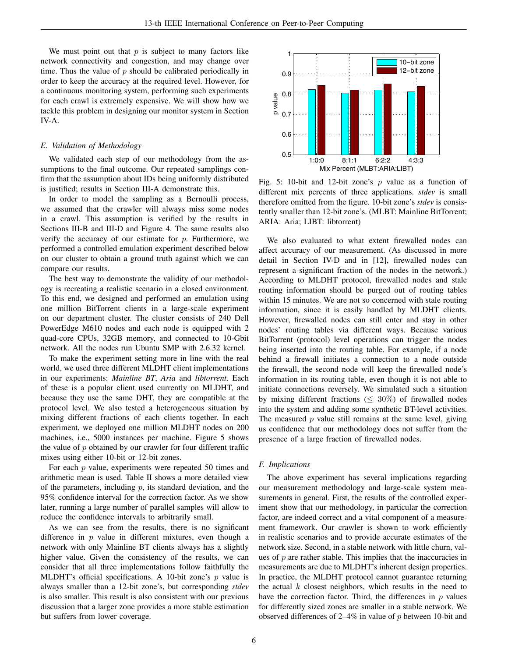We must point out that  $p$  is subject to many factors like network connectivity and congestion, and may change over time. Thus the value of  $p$  should be calibrated periodically in order to keep the accuracy at the required level. However, for a continuous monitoring system, performing such experiments for each crawl is extremely expensive. We will show how we tackle this problem in designing our monitor system in Section IV-A.

#### *E. Validation of Methodology*

We validated each step of our methodology from the assumptions to the final outcome. Our repeated samplings confirm that the assumption about IDs being uniformly distributed is justified; results in Section III-A demonstrate this.

In order to model the sampling as a Bernoulli process, we assumed that the crawler will always miss some nodes in a crawl. This assumption is verified by the results in Sections III-B and III-D and Figure 4. The same results also verify the accuracy of our estimate for  $p$ . Furthermore, we performed a controlled emulation experiment described below on our cluster to obtain a ground truth against which we can compare our results.

The best way to demonstrate the validity of our methodology is recreating a realistic scenario in a closed environment. To this end, we designed and performed an emulation using one million BitTorrent clients in a large-scale experiment on our department cluster. The cluster consists of 240 Dell PowerEdge M610 nodes and each node is equipped with 2 quad-core CPUs, 32GB memory, and connected to 10-Gbit network. All the nodes run Ubuntu SMP with 2.6.32 kernel.

To make the experiment setting more in line with the real world, we used three different MLDHT client implementations in our experiments: *Mainline BT*, *Aria* and *libtorrent*. Each of these is a popular client used currently on MLDHT, and because they use the same DHT, they are compatible at the protocol level. We also tested a heterogeneous situation by mixing different fractions of each clients together. In each experiment, we deployed one million MLDHT nodes on 200 machines, i.e., 5000 instances per machine. Figure 5 shows the value of  $p$  obtained by our crawler for four different traffic mixes using either 10-bit or 12-bit zones.

For each p value, experiments were repeated 50 times and arithmetic mean is used. Table II shows a more detailed view of the parameters, including  $p$ , its standard deviation, and the 95% confidence interval for the correction factor. As we show later, running a large number of parallel samples will allow to reduce the confidence intervals to arbitrarily small.

As we can see from the results, there is no significant difference in  $p$  value in different mixtures, even though a network with only Mainline BT clients always has a slightly higher value. Given the consistency of the results, we can consider that all three implementations follow faithfully the MLDHT's official specifications. A 10-bit zone's  $p$  value is always smaller than a 12-bit zone's, but corresponding *stdev* is also smaller. This result is also consistent with our previous discussion that a larger zone provides a more stable estimation but suffers from lower coverage.



Fig. 5: 10-bit and 12-bit zone's  $p$  value as a function of different mix percents of three applications. *stdev* is small therefore omitted from the figure. 10-bit zone's *stdev* is consistently smaller than 12-bit zone's. (MLBT: Mainline BitTorrent; ARIA: Aria; LIBT: libtorrent)

We also evaluated to what extent firewalled nodes can affect accuracy of our measurement. (As discussed in more detail in Section IV-D and in [12], firewalled nodes can represent a significant fraction of the nodes in the network.) According to MLDHT protocol, firewalled nodes and stale routing information should be purged out of routing tables within 15 minutes. We are not so concerned with stale routing information, since it is easily handled by MLDHT clients. However, firewalled nodes can still enter and stay in other nodes' routing tables via different ways. Because various BitTorrent (protocol) level operations can trigger the nodes being inserted into the routing table. For example, if a node behind a firewall initiates a connection to a node outside the firewall, the second node will keep the firewalled node's information in its routing table, even though it is not able to initiate connections reversely. We simulated such a situation by mixing different fractions ( $\leq 30\%$ ) of firewalled nodes into the system and adding some synthetic BT-level activities. The measured  $p$  value still remains at the same level, giving us confidence that our methodology does not suffer from the presence of a large fraction of firewalled nodes.

## *F. Implications*

The above experiment has several implications regarding our measurement methodology and large-scale system measurements in general. First, the results of the controlled experiment show that our methodology, in particular the correction factor, are indeed correct and a vital component of a measurement framework. Our crawler is shown to work efficiently in realistic scenarios and to provide accurate estimates of the network size. Second, in a stable network with little churn, values of  $p$  are rather stable. This implies that the inaccuracies in measurements are due to MLDHT's inherent design properties. In practice, the MLDHT protocol cannot guarantee returning the actual  $k$  closest neighbors, which results in the need to have the correction factor. Third, the differences in  $p$  values for differently sized zones are smaller in a stable network. We observed differences of  $2-4\%$  in value of p between 10-bit and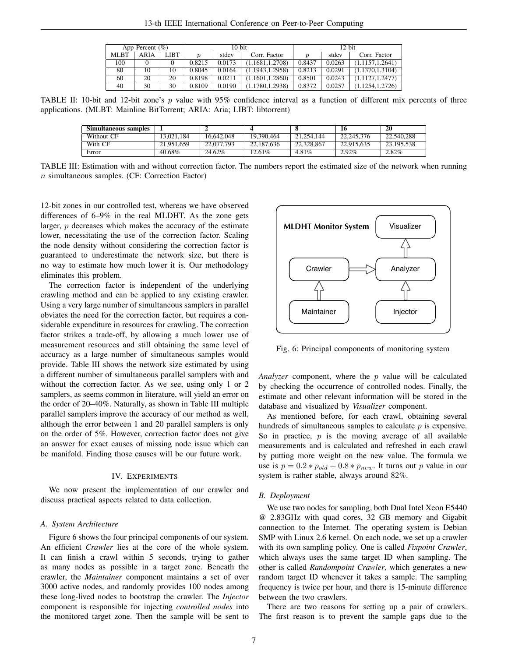| App Percent $(\% )$ |      | $10$ -bit |        | $12$ -bit |                 |        |        |                 |
|---------------------|------|-----------|--------|-----------|-----------------|--------|--------|-----------------|
| MLBT                | ARIA | LIBT      | D      | stdev     | Corr. Factor    |        | stdev  | Corr. Factor    |
| 100                 |      |           | 0.8215 | 0.0173    | (1.1681.1.2708) | 0.8437 | 0.0263 | (1.1157.1.2641) |
| 80                  | 10   | 10        | 0.8045 | 0.0164    | (1.1943.1.2958) | 0.8213 | 0.0291 | (1.1370.1.3104) |
| 60                  | 20   | 20        | 0.8198 | 0.0211    | (1.1601.1.2860) | 0.8501 | 0.0243 | (1.1127.1.2477) |
| 40                  | 30   | 30        | 0.8109 | 0.0190    | (1.1780.1.2938) | 0.8372 | 0.0257 | (1.1254.1.2726) |

TABLE II: 10-bit and 12-bit zone's  $p$  value with 95% confidence interval as a function of different mix percents of three applications. (MLBT: Mainline BitTorrent; ARIA: Aria; LIBT: libtorrent)

| Simultaneous samples |            |            |            |            |              | 20         |
|----------------------|------------|------------|------------|------------|--------------|------------|
| Without CF           | 3.021.184  | 16,642,048 | 19.390.464 | 21.254.144 | 22, 245, 376 | 22,540,288 |
| With CF              | 21.951.659 | 22,077,793 | 22,187,636 | 22,328,867 | 22.915.635   | 23,195,538 |
| Error                | 40.68%     | 24.62%     | $12.61\%$  | 4.81%      | $2.92\%$     | $2.82\%$   |

TABLE III: Estimation with and without correction factor. The numbers report the estimated size of the network when running  $n$  simultaneous samples. (CF: Correction Factor)

12-bit zones in our controlled test, whereas we have observed differences of 6–9% in the real MLDHT. As the zone gets larger, p decreases which makes the accuracy of the estimate lower, necessitating the use of the correction factor. Scaling the node density without considering the correction factor is guaranteed to underestimate the network size, but there is no way to estimate how much lower it is. Our methodology eliminates this problem.

The correction factor is independent of the underlying crawling method and can be applied to any existing crawler. Using a very large number of simultaneous samplers in parallel obviates the need for the correction factor, but requires a considerable expenditure in resources for crawling. The correction factor strikes a trade-off, by allowing a much lower use of measurement resources and still obtaining the same level of accuracy as a large number of simultaneous samples would provide. Table III shows the network size estimated by using a different number of simultaneous parallel samplers with and without the correction factor. As we see, using only 1 or 2 samplers, as seems common in literature, will yield an error on the order of 20–40%. Naturally, as shown in Table III multiple parallel samplers improve the accuracy of our method as well, although the error between 1 and 20 parallel samplers is only on the order of 5%. However, correction factor does not give an answer for exact causes of missing node issue which can be manifold. Finding those causes will be our future work.

## IV. EXPERIMENTS

We now present the implementation of our crawler and discuss practical aspects related to data collection.

#### *A. System Architecture*

Figure 6 shows the four principal components of our system. An efficient *Crawler* lies at the core of the whole system. It can finish a crawl within 5 seconds, trying to gather as many nodes as possible in a target zone. Beneath the crawler, the *Maintainer* component maintains a set of over 3000 active nodes, and randomly provides 100 nodes among these long-lived nodes to bootstrap the crawler. The *Injector* component is responsible for injecting *controlled nodes* into the monitored target zone. Then the sample will be sent to



Fig. 6: Principal components of monitoring system

*Analyzer* component, where the p value will be calculated by checking the occurrence of controlled nodes. Finally, the estimate and other relevant information will be stored in the database and visualized by *Visualizer* component.

As mentioned before, for each crawl, obtaining several hundreds of simultaneous samples to calculate  $p$  is expensive. So in practice,  $p$  is the moving average of all available measurements and is calculated and refreshed in each crawl by putting more weight on the new value. The formula we use is  $p = 0.2 * p_{old} + 0.8 * p_{new}$ . It turns out p value in our system is rather stable, always around 82%.

#### *B. Deployment*

We use two nodes for sampling, both Dual Intel Xeon E5440 @ 2.83GHz with quad cores, 32 GB memory and Gigabit connection to the Internet. The operating system is Debian SMP with Linux 2.6 kernel. On each node, we set up a crawler with its own sampling policy. One is called *Fixpoint Crawler*, which always uses the same target ID when sampling. The other is called *Randompoint Crawler*, which generates a new random target ID whenever it takes a sample. The sampling frequency is twice per hour, and there is 15-minute difference between the two crawlers.

There are two reasons for setting up a pair of crawlers. The first reason is to prevent the sample gaps due to the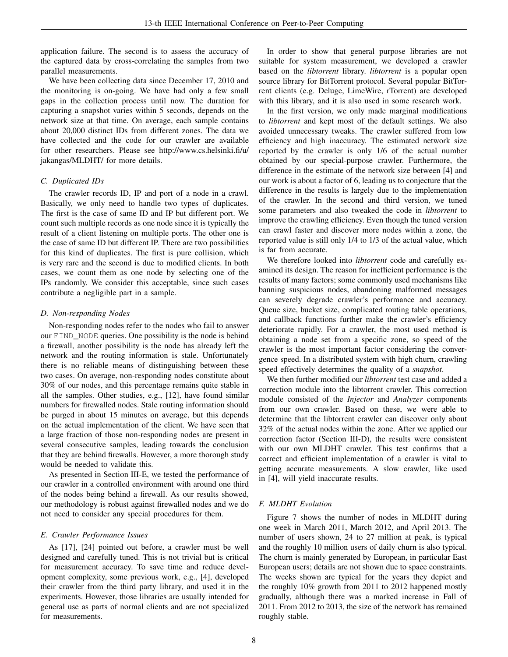application failure. The second is to assess the accuracy of the captured data by cross-correlating the samples from two parallel measurements.

We have been collecting data since December 17, 2010 and the monitoring is on-going. We have had only a few small gaps in the collection process until now. The duration for capturing a snapshot varies within 5 seconds, depends on the network size at that time. On average, each sample contains about 20,000 distinct IDs from different zones. The data we have collected and the code for our crawler are available for other researchers. Please see http://www.cs.helsinki.fi/u/ jakangas/MLDHT/ for more details.

## *C. Duplicated IDs*

The crawler records ID, IP and port of a node in a crawl. Basically, we only need to handle two types of duplicates. The first is the case of same ID and IP but different port. We count such multiple records as one node since it is typically the result of a client listening on multiple ports. The other one is the case of same ID but different IP. There are two possibilities for this kind of duplicates. The first is pure collision, which is very rare and the second is due to modified clients. In both cases, we count them as one node by selecting one of the IPs randomly. We consider this acceptable, since such cases contribute a negligible part in a sample.

## *D. Non-responding Nodes*

Non-responding nodes refer to the nodes who fail to answer our FIND\_NODE queries. One possibility is the node is behind a firewall, another possibility is the node has already left the network and the routing information is stale. Unfortunately there is no reliable means of distinguishing between these two cases. On average, non-responding nodes constitute about 30% of our nodes, and this percentage remains quite stable in all the samples. Other studies, e.g., [12], have found similar numbers for firewalled nodes. Stale routing information should be purged in about 15 minutes on average, but this depends on the actual implementation of the client. We have seen that a large fraction of those non-responding nodes are present in several consecutive samples, leading towards the conclusion that they are behind firewalls. However, a more thorough study would be needed to validate this.

As presented in Section III-E, we tested the performance of our crawler in a controlled environment with around one third of the nodes being behind a firewall. As our results showed, our methodology is robust against firewalled nodes and we do not need to consider any special procedures for them.

## *E. Crawler Performance Issues*

As [17], [24] pointed out before, a crawler must be well designed and carefully tuned. This is not trivial but is critical for measurement accuracy. To save time and reduce development complexity, some previous work, e.g., [4], developed their crawler from the third party library, and used it in the experiments. However, those libraries are usually intended for general use as parts of normal clients and are not specialized for measurements.

In order to show that general purpose libraries are not suitable for system measurement, we developed a crawler based on the *libtorrent* library. *libtorrent* is a popular open source library for BitTorrent protocol. Several popular BitTorrent clients (e.g. Deluge, LimeWire, rTorrent) are developed with this library, and it is also used in some research work.

In the first version, we only made marginal modifications to *libtorrent* and kept most of the default settings. We also avoided unnecessary tweaks. The crawler suffered from low efficiency and high inaccuracy. The estimated network size reported by the crawler is only 1/6 of the actual number obtained by our special-purpose crawler. Furthermore, the difference in the estimate of the network size between [4] and our work is about a factor of 6, leading us to conjecture that the difference in the results is largely due to the implementation of the crawler. In the second and third version, we tuned some parameters and also tweaked the code in *libtorrent* to improve the crawling efficiency. Even though the tuned version can crawl faster and discover more nodes within a zone, the reported value is still only 1/4 to 1/3 of the actual value, which is far from accurate.

We therefore looked into *libtorrent* code and carefully examined its design. The reason for inefficient performance is the results of many factors; some commonly used mechanisms like banning suspicious nodes, abandoning malformed messages can severely degrade crawler's performance and accuracy. Queue size, bucket size, complicated routing table operations, and callback functions further make the crawler's efficiency deteriorate rapidly. For a crawler, the most used method is obtaining a node set from a specific zone, so speed of the crawler is the most important factor considering the convergence speed. In a distributed system with high churn, crawling speed effectively determines the quality of a *snapshot*.

We then further modified our *libtorrent* test case and added a correction module into the libtorrent crawler. This correction module consisted of the *Injector* and *Analyzer* components from our own crawler. Based on these, we were able to determine that the libtorrent crawler can discover only about 32% of the actual nodes within the zone. After we applied our correction factor (Section III-D), the results were consistent with our own MLDHT crawler. This test confirms that a correct and efficient implementation of a crawler is vital to getting accurate measurements. A slow crawler, like used in [4], will yield inaccurate results.

## *F. MLDHT Evolution*

Figure 7 shows the number of nodes in MLDHT during one week in March 2011, March 2012, and April 2013. The number of users shown, 24 to 27 million at peak, is typical and the roughly 10 million users of daily churn is also typical. The churn is mainly generated by European, in particular East European users; details are not shown due to space constraints. The weeks shown are typical for the years they depict and the roughly 10% growth from 2011 to 2012 happened mostly gradually, although there was a marked increase in Fall of 2011. From 2012 to 2013, the size of the network has remained roughly stable.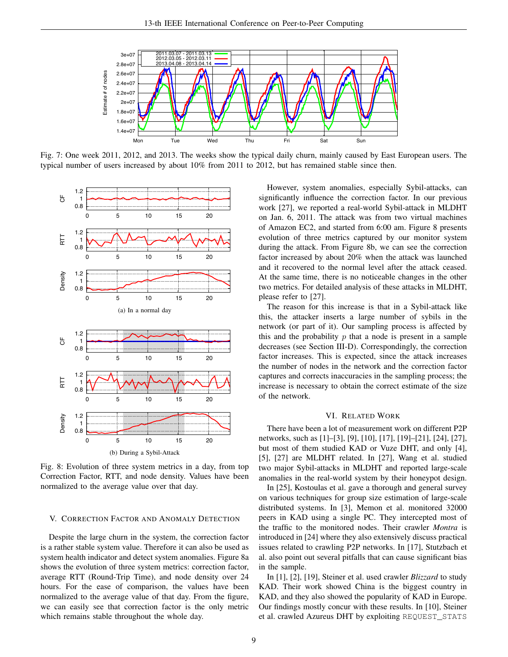

Fig. 7: One week 2011, 2012, and 2013. The weeks show the typical daily churn, mainly caused by East European users. The typical number of users increased by about 10% from 2011 to 2012, but has remained stable since then.



Fig. 8: Evolution of three system metrics in a day, from top Correction Factor, RTT, and node density. Values have been normalized to the average value over that day.

### V. CORRECTION FACTOR AND ANOMALY DETECTION

Despite the large churn in the system, the correction factor is a rather stable system value. Therefore it can also be used as system health indicator and detect system anomalies. Figure 8a shows the evolution of three system metrics: correction factor, average RTT (Round-Trip Time), and node density over 24 hours. For the ease of comparison, the values have been normalized to the average value of that day. From the figure, we can easily see that correction factor is the only metric which remains stable throughout the whole day.

However, system anomalies, especially Sybil-attacks, can significantly influence the correction factor. In our previous work [27], we reported a real-world Sybil-attack in MLDHT on Jan. 6, 2011. The attack was from two virtual machines of Amazon EC2, and started from 6:00 am. Figure 8 presents evolution of three metrics captured by our monitor system during the attack. From Figure 8b, we can see the correction factor increased by about 20% when the attack was launched and it recovered to the normal level after the attack ceased. At the same time, there is no noticeable changes in the other two metrics. For detailed analysis of these attacks in MLDHT, please refer to [27].

The reason for this increase is that in a Sybil-attack like this, the attacker inserts a large number of sybils in the network (or part of it). Our sampling process is affected by this and the probability  $p$  that a node is present in a sample decreases (see Section III-D). Correspondingly, the correction factor increases. This is expected, since the attack increases the number of nodes in the network and the correction factor captures and corrects inaccuracies in the sampling process; the increase is necessary to obtain the correct estimate of the size of the network.

### VI. RELATED WORK

There have been a lot of measurement work on different P2P networks, such as [1]–[3], [9], [10], [17], [19]–[21], [24], [27], but most of them studied KAD or Vuze DHT, and only [4], [5], [27] are MLDHT related. In [27], Wang et al. studied two major Sybil-attacks in MLDHT and reported large-scale anomalies in the real-world system by their honeypot design.

In [25], Kostoulas et al. gave a thorough and general survey on various techniques for group size estimation of large-scale distributed systems. In [3], Memon et al. monitored 32000 peers in KAD using a single PC. They intercepted most of the traffic to the monitored nodes. Their crawler *Montra* is introduced in [24] where they also extensively discuss practical issues related to crawling P2P networks. In [17], Stutzbach et al. also point out several pitfalls that can cause significant bias in the sample.

In [1], [2], [19], Steiner et al. used crawler *Blizzard* to study KAD. Their work showed China is the biggest country in KAD, and they also showed the popularity of KAD in Europe. Our findings mostly concur with these results. In [10], Steiner et al. crawled Azureus DHT by exploiting REQUEST\_STATS